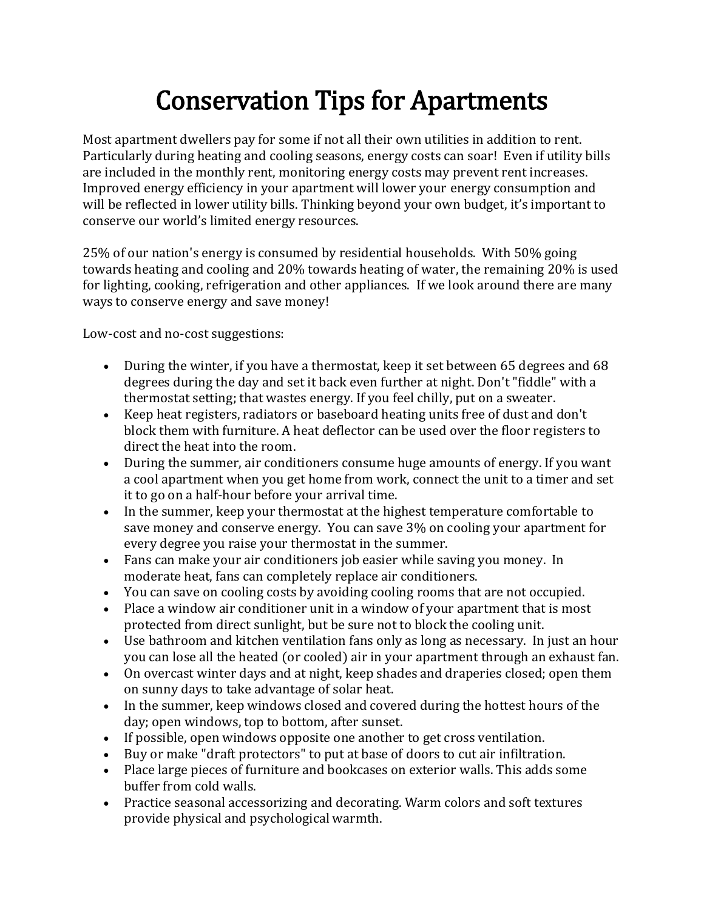## Conservation Tips for Apartments

Most apartment dwellers pay for some if not all their own utilities in addition to rent. Particularly during heating and cooling seasons, energy costs can soar! Even if utility bills are included in the monthly rent, monitoring energy costs may prevent rent increases. Improved energy efficiency in your apartment will lower your energy consumption and will be reflected in lower utility bills. Thinking beyond your own budget, it's important to conserve our world's limited energy resources.

25% of our nation's energy is consumed by residential households. With 50% going towards heating and cooling and 20% towards heating of water, the remaining 20% is used for lighting, cooking, refrigeration and other appliances. If we look around there are many ways to conserve energy and save money!

Low-cost and no-cost suggestions:

- During the winter, if you have a thermostat, keep it set between 65 degrees and 68 degrees during the day and set it back even further at night. Don't "fiddle" with a thermostat setting; that wastes energy. If you feel chilly, put on a sweater.
- Keep heat registers, radiators or baseboard heating units free of dust and don't block them with furniture. A heat deflector can be used over the floor registers to direct the heat into the room.
- During the summer, air conditioners consume huge amounts of energy. If you want a cool apartment when you get home from work, connect the unit to a timer and set it to go on a half-hour before your arrival time.
- In the summer, keep your thermostat at the highest temperature comfortable to save money and conserve energy. You can save 3% on cooling your apartment for every degree you raise your thermostat in the summer.
- Fans can make your air conditioners job easier while saving you money. In moderate heat, fans can completely replace air conditioners.
- You can save on cooling costs by avoiding cooling rooms that are not occupied.
- Place a window air conditioner unit in a window of your apartment that is most protected from direct sunlight, but be sure not to block the cooling unit.
- Use bathroom and kitchen ventilation fans only as long as necessary. In just an hour you can lose all the heated (or cooled) air in your apartment through an exhaust fan.
- On overcast winter days and at night, keep shades and draperies closed; open them on sunny days to take advantage of solar heat.
- In the summer, keep windows closed and covered during the hottest hours of the day; open windows, top to bottom, after sunset.
- If possible, open windows opposite one another to get cross ventilation.
- Buy or make "draft protectors" to put at base of doors to cut air infiltration.
- Place large pieces of furniture and bookcases on exterior walls. This adds some buffer from cold walls.
- Practice seasonal accessorizing and decorating. Warm colors and soft textures provide physical and psychological warmth.